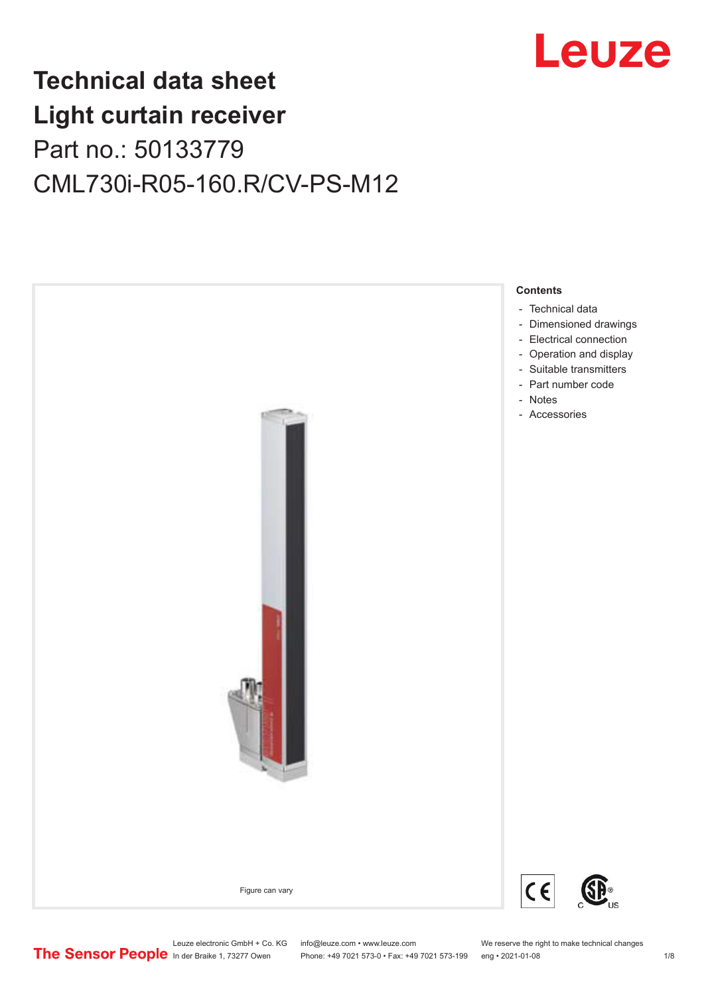

# **Technical data sheet Light curtain receiver** Part no.: 50133779 CML730i-R05-160.R/CV-PS-M12



Leuze electronic GmbH + Co. KG info@leuze.com • www.leuze.com We reserve the right to make technical changes<br>
The Sensor People in der Braike 1, 73277 Owen Phone: +49 7021 573-0 • Fax: +49 7021 573-199 eng • 2021-01-08

Phone: +49 7021 573-0 • Fax: +49 7021 573-199 eng • 2021-01-08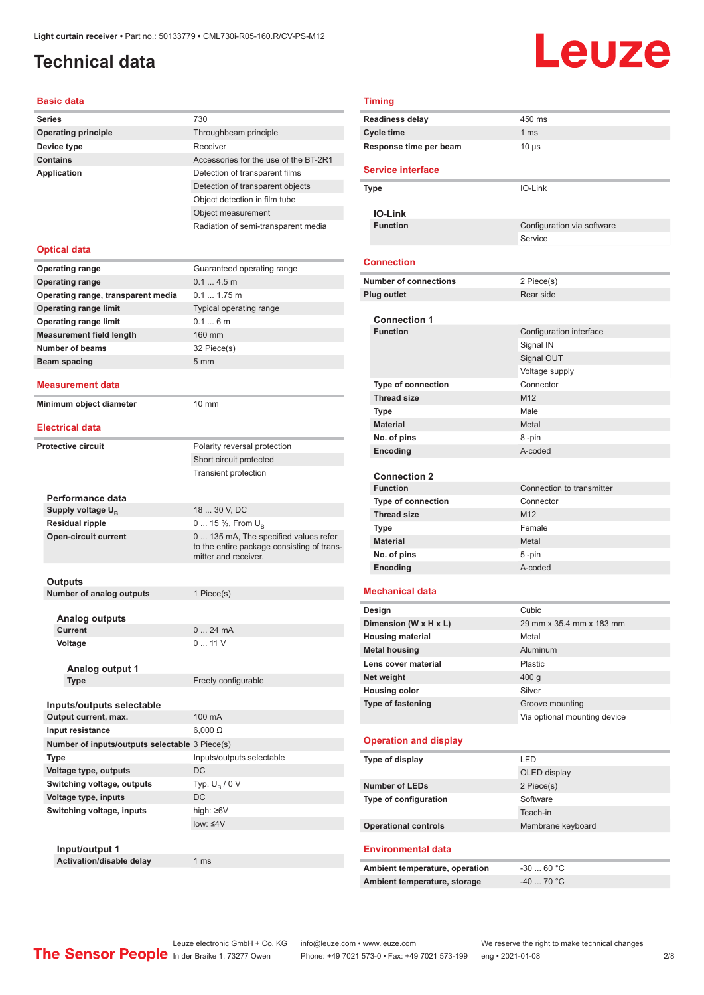# <span id="page-1-0"></span>**Technical data**

#### **Basic data**

| <b>Series</b>                                  | 730                                                                                |
|------------------------------------------------|------------------------------------------------------------------------------------|
| <b>Operating principle</b>                     | Throughbeam principle                                                              |
| Device type                                    | Receiver                                                                           |
| <b>Contains</b>                                | Accessories for the use of the BT-2R1                                              |
| <b>Application</b>                             | Detection of transparent films                                                     |
|                                                | Detection of transparent objects                                                   |
|                                                | Object detection in film tube                                                      |
|                                                | Object measurement                                                                 |
|                                                | Radiation of semi-transparent media                                                |
|                                                |                                                                                    |
| <b>Optical data</b>                            |                                                                                    |
| <b>Operating range</b>                         | Guaranteed operating range                                                         |
| <b>Operating range</b>                         | 0.14.5m                                                                            |
| Operating range, transparent media             | $0.1 1.75$ m                                                                       |
| <b>Operating range limit</b>                   | Typical operating range                                                            |
| <b>Operating range limit</b>                   | 0.16m                                                                              |
| <b>Measurement field length</b>                | 160 mm                                                                             |
| Number of beams                                | 32 Piece(s)                                                                        |
| <b>Beam spacing</b>                            | 5 <sub>mm</sub>                                                                    |
|                                                |                                                                                    |
| Measurement data                               |                                                                                    |
| Minimum object diameter                        | $10 \text{ mm}$                                                                    |
|                                                |                                                                                    |
| <b>Electrical data</b>                         |                                                                                    |
| <b>Protective circuit</b>                      | Polarity reversal protection                                                       |
|                                                | Short circuit protected                                                            |
|                                                | <b>Transient protection</b>                                                        |
|                                                |                                                                                    |
| Performance data                               |                                                                                    |
| Supply voltage U <sub>B</sub>                  | 18  30 V, DC                                                                       |
| <b>Residual ripple</b>                         | 0  15 %, From $U_{\rm B}$                                                          |
| <b>Open-circuit current</b>                    | 0 135 mA, The specified values refer<br>to the entire package consisting of trans- |
|                                                | mitter and receiver.                                                               |
|                                                |                                                                                    |
| Outputs                                        |                                                                                    |
| Number of analog outputs                       | 1 Piece(s)                                                                         |
|                                                |                                                                                    |
| Analog outputs<br>Current                      | 024mA                                                                              |
| Voltage                                        | 011V                                                                               |
|                                                |                                                                                    |
| Analog output 1                                |                                                                                    |
| <b>Type</b>                                    | Freely configurable                                                                |
|                                                |                                                                                    |
| Inputs/outputs selectable                      |                                                                                    |
| Output current, max.                           | 100 mA                                                                             |
| Input resistance                               | $6,000 \Omega$                                                                     |
| Number of inputs/outputs selectable 3 Piece(s) |                                                                                    |
| Type                                           | Inputs/outputs selectable                                                          |
| Voltage type, outputs                          | DC                                                                                 |
| Switching voltage, outputs                     | Typ. $U_B / 0 V$                                                                   |
| Voltage type, inputs                           | DC                                                                                 |
| Switching voltage, inputs                      | high: ≥6V                                                                          |
|                                                | $low: \leq 4V$                                                                     |
|                                                |                                                                                    |
| Input/output 1                                 |                                                                                    |
| Activation/disable delay                       | 1 ms                                                                               |

|                        | <b>Timing</b>                  |                              |  |
|------------------------|--------------------------------|------------------------------|--|
|                        | <b>Readiness delay</b>         | 450 ms                       |  |
|                        | <b>Cycle time</b>              | 1 <sub>ms</sub>              |  |
| Response time per beam |                                | $10 \mu s$                   |  |
|                        |                                |                              |  |
|                        | <b>Service interface</b>       |                              |  |
|                        | Type                           | IO-Link                      |  |
|                        |                                |                              |  |
|                        | <b>IO-Link</b>                 |                              |  |
|                        | <b>Function</b>                | Configuration via software   |  |
|                        |                                | Service                      |  |
|                        |                                |                              |  |
|                        | <b>Connection</b>              |                              |  |
|                        | <b>Number of connections</b>   | 2 Piece(s)                   |  |
|                        | <b>Plug outlet</b>             | Rear side                    |  |
|                        |                                |                              |  |
|                        | <b>Connection 1</b>            |                              |  |
|                        | <b>Function</b>                | Configuration interface      |  |
|                        |                                | Signal IN                    |  |
|                        |                                | Signal OUT                   |  |
|                        |                                | Voltage supply               |  |
|                        | <b>Type of connection</b>      | Connector                    |  |
|                        | <b>Thread size</b>             | M <sub>12</sub>              |  |
|                        | <b>Type</b>                    | Male                         |  |
|                        | <b>Material</b>                | Metal                        |  |
|                        | No. of pins                    | 8-pin                        |  |
|                        | Encoding                       | A-coded                      |  |
|                        |                                |                              |  |
|                        | <b>Connection 2</b>            |                              |  |
|                        | <b>Function</b>                | Connection to transmitter    |  |
|                        | <b>Type of connection</b>      | Connector                    |  |
|                        | <b>Thread size</b>             | M <sub>12</sub>              |  |
|                        | <b>Type</b>                    | Female                       |  |
|                        | <b>Material</b>                | Metal                        |  |
|                        | No. of pins                    | 5-pin                        |  |
|                        | Encoding                       | A-coded                      |  |
|                        |                                |                              |  |
|                        | <b>Mechanical data</b>         |                              |  |
|                        | Design                         | Cubic                        |  |
|                        | Dimension (W x H x L)          | 29 mm x 35.4 mm x 183 mm     |  |
|                        | <b>Housing material</b>        | Metal                        |  |
|                        | <b>Metal housing</b>           | Aluminum                     |  |
|                        | Lens cover material            | Plastic                      |  |
|                        | Net weight                     | 400 g                        |  |
|                        | <b>Housing color</b>           | Silver                       |  |
|                        | Type of fastening              | Groove mounting              |  |
|                        |                                | Via optional mounting device |  |
|                        |                                |                              |  |
|                        | <b>Operation and display</b>   |                              |  |
|                        | Type of display                | LED                          |  |
|                        |                                | OLED display                 |  |
|                        | <b>Number of LEDs</b>          | 2 Piece(s)                   |  |
|                        | Type of configuration          | Software                     |  |
|                        |                                | Teach-in                     |  |
|                        | <b>Operational controls</b>    | Membrane keyboard            |  |
|                        |                                |                              |  |
|                        | <b>Environmental data</b>      |                              |  |
|                        | Ambient temperature, operation | $-3060 °C$                   |  |
|                        | Ambient temperature, storage   | $-40$ 70 °C                  |  |
|                        |                                |                              |  |
|                        |                                |                              |  |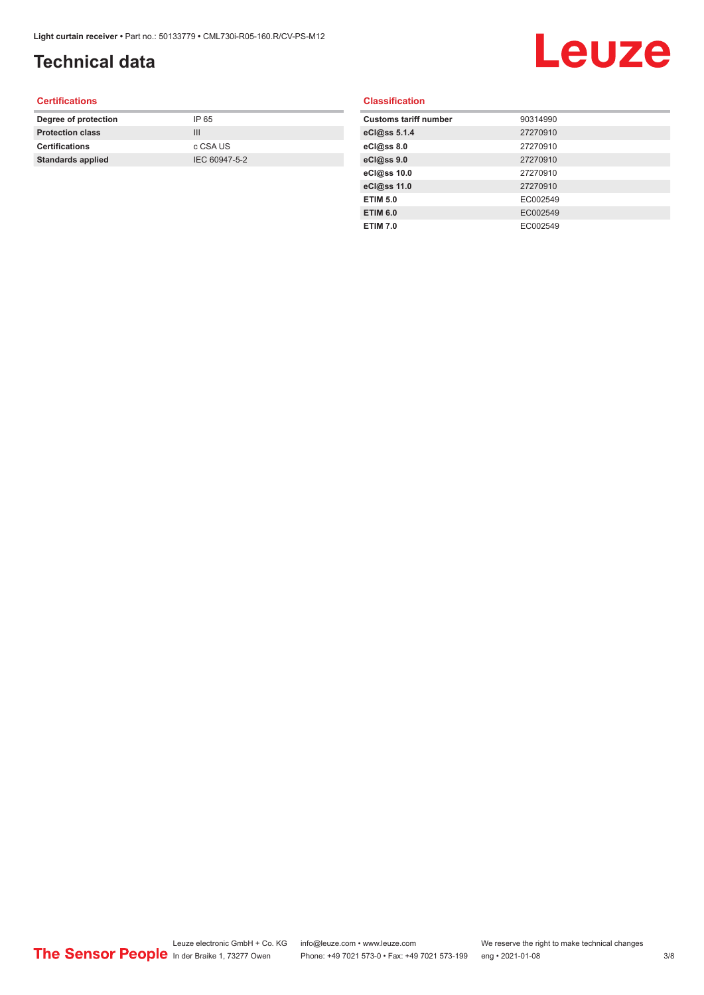# **Technical data**

# Leuze

#### **Certifications**

| Degree of protection     | IP 65         |
|--------------------------|---------------|
| <b>Protection class</b>  | Ш             |
| <b>Certifications</b>    | c CSA US      |
| <b>Standards applied</b> | IEC 60947-5-2 |
|                          |               |

#### **Classification**

| <b>Customs tariff number</b> | 90314990 |
|------------------------------|----------|
| eCl@ss 5.1.4                 | 27270910 |
| eCl@ss 8.0                   | 27270910 |
| eCl@ss 9.0                   | 27270910 |
| eCl@ss 10.0                  | 27270910 |
| eCl@ss 11.0                  | 27270910 |
| <b>ETIM 5.0</b>              | EC002549 |
| <b>ETIM 6.0</b>              | EC002549 |
| <b>ETIM 7.0</b>              | EC002549 |
|                              |          |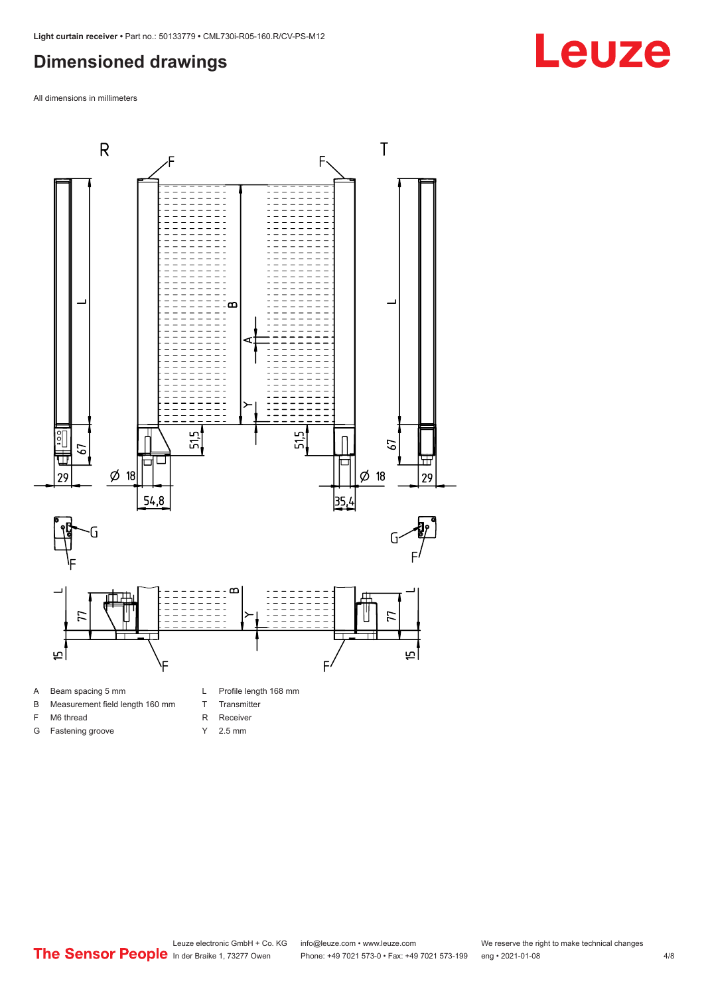### <span id="page-3-0"></span>**Dimensioned drawings**

All dimensions in millimeters





F M6 thread G Fastening groove

- T Transmitter
- R Receiver
- 
- Y 2.5 mm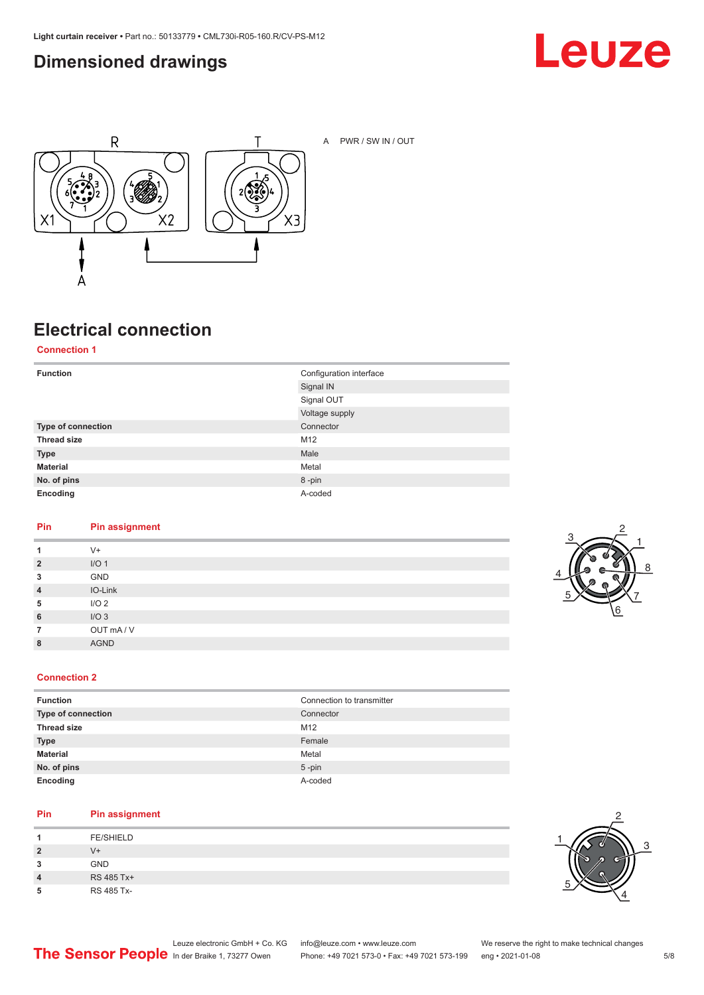### <span id="page-4-0"></span>**Dimensioned drawings**





A PWR / SW IN / OUT

### **Electrical connection**

**Connection 1**

| <b>Function</b>    | Configuration interface |
|--------------------|-------------------------|
|                    | Signal IN               |
|                    | Signal OUT              |
|                    | Voltage supply          |
| Type of connection | Connector               |
| <b>Thread size</b> | M12                     |
| <b>Type</b>        | Male                    |
| <b>Material</b>    | Metal                   |
| No. of pins        | 8-pin                   |
| Encoding           | A-coded                 |

#### **Pin Pin assignment**

| 1              | $V^+$            |
|----------------|------------------|
| $\overline{2}$ | I/O <sub>1</sub> |
| 3              | GND              |
| $\overline{4}$ | IO-Link          |
| 5              | I/O <sub>2</sub> |
| 6              | I/O3             |
| $\overline{7}$ | OUT mA/V         |
| 8              | <b>AGND</b>      |
|                |                  |



#### **Connection 2**

| <b>Function</b>    | Connection to transmitter |
|--------------------|---------------------------|
| Type of connection | Connector                 |
| <b>Thread size</b> | M12                       |
| <b>Type</b>        | Female                    |
| <b>Material</b>    | Metal                     |
| No. of pins        | $5$ -pin                  |
| Encoding           | A-coded                   |

#### **Pin Pin assignment**

|                | <b>FE/SHIELD</b> |
|----------------|------------------|
| $\overline{2}$ | V+               |
| 3              | <b>GND</b>       |
| 4              | RS 485 Tx+       |
| 5              | RS 485 Tx-       |

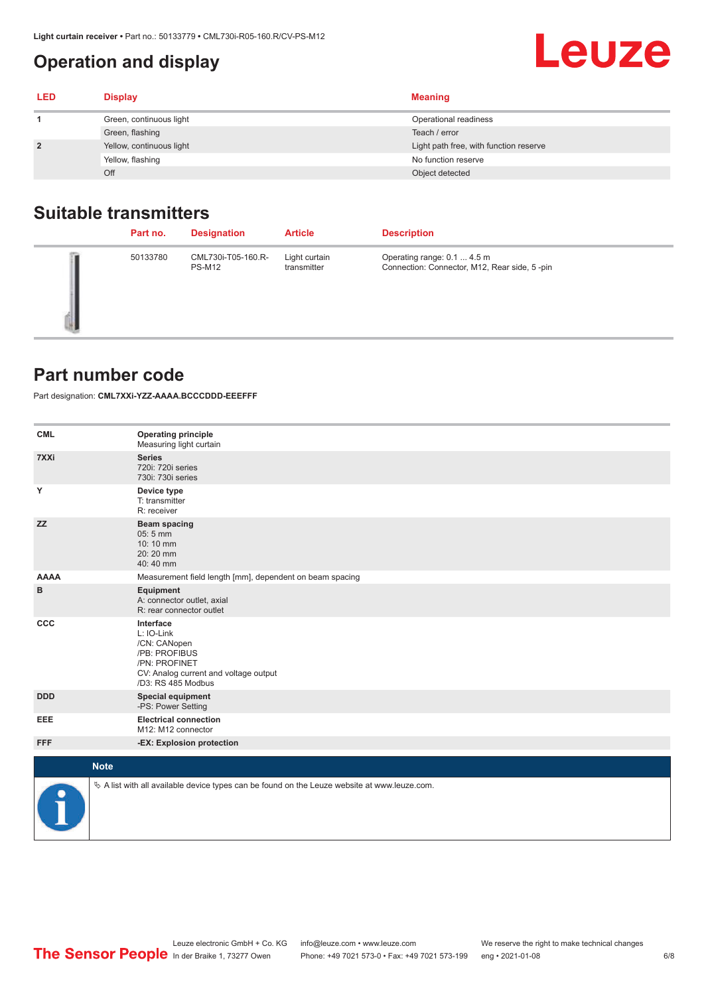### <span id="page-5-0"></span>**Operation and display**

| <b>LED</b>     | <b>Display</b>           | <b>Meaning</b>                         |
|----------------|--------------------------|----------------------------------------|
|                | Green, continuous light  | Operational readiness                  |
|                | Green, flashing          | Teach / error                          |
| $\overline{2}$ | Yellow, continuous light | Light path free, with function reserve |
|                | Yellow, flashing         | No function reserve                    |
|                | Off                      | Object detected                        |

### **Suitable transmitters**

| Part no. | <b>Designation</b>                  | <b>Article</b>               | <b>Description</b>                                                          |
|----------|-------------------------------------|------------------------------|-----------------------------------------------------------------------------|
| 50133780 | CML730i-T05-160.R-<br><b>PS-M12</b> | Light curtain<br>transmitter | Operating range: 0.1  4.5 m<br>Connection: Connector, M12, Rear side, 5-pin |

#### **Part number code**

Part designation: **CML7XXi-YZZ-AAAA.BCCCDDD-EEEFFF**

| <b>CML</b>  | <b>Operating principle</b><br>Measuring light curtain                                                                                    |
|-------------|------------------------------------------------------------------------------------------------------------------------------------------|
| 7XXi        | <b>Series</b><br>720i: 720i series<br>730i: 730i series                                                                                  |
| Y           | Device type<br>T: transmitter<br>R: receiver                                                                                             |
| <b>ZZ</b>   | <b>Beam spacing</b><br>05:5 mm<br>10:10 mm<br>20:20 mm<br>40:40 mm                                                                       |
| <b>AAAA</b> | Measurement field length [mm], dependent on beam spacing                                                                                 |
| в           | Equipment<br>A: connector outlet, axial<br>R: rear connector outlet                                                                      |
| CCC         | Interface<br>L: IO-Link<br>/CN: CANopen<br>/PB: PROFIBUS<br>/PN: PROFINET<br>CV: Analog current and voltage output<br>/D3: RS 485 Modbus |
| <b>DDD</b>  | <b>Special equipment</b><br>-PS: Power Setting                                                                                           |
| EEE         | <b>Electrical connection</b><br>M12: M12 connector                                                                                       |
| <b>FFF</b>  | -EX: Explosion protection                                                                                                                |
|             | <b>Note</b>                                                                                                                              |
| P           | $\&$ A list with all available device types can be found on the Leuze website at www.leuze.com.                                          |

#### 6/8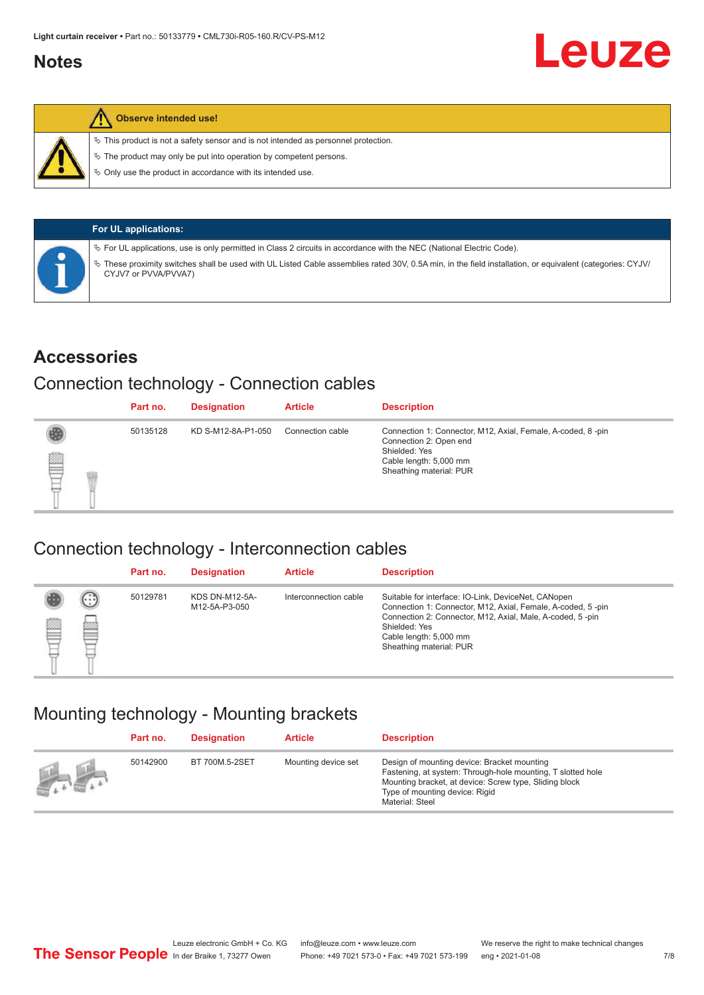#### <span id="page-6-0"></span>**Notes**



#### **Observe intended use!**

 $\%$  This product is not a safety sensor and is not intended as personnel protection.

 $\%$  The product may only be put into operation by competent persons.

 $\%$  Only use the product in accordance with its intended use.

|  | <b>For UL applications:</b>                                                                                                                                                       |
|--|-----------------------------------------------------------------------------------------------------------------------------------------------------------------------------------|
|  | $\%$ For UL applications, use is only permitted in Class 2 circuits in accordance with the NEC (National Electric Code).                                                          |
|  | V These proximity switches shall be used with UL Listed Cable assemblies rated 30V, 0.5A min, in the field installation, or equivalent (categories: CYJV/<br>CYJV7 or PVVA/PVVA7) |

#### **Accessories**

#### Connection technology - Connection cables

|   | Part no. | <b>Designation</b> | <b>Article</b>   | <b>Description</b>                                                                                                                                          |
|---|----------|--------------------|------------------|-------------------------------------------------------------------------------------------------------------------------------------------------------------|
| ▇ | 50135128 | KD S-M12-8A-P1-050 | Connection cable | Connection 1: Connector, M12, Axial, Female, A-coded, 8-pin<br>Connection 2: Open end<br>Shielded: Yes<br>Cable length: 5,000 mm<br>Sheathing material: PUR |

#### Connection technology - Interconnection cables

|   |               | Part no. | <b>Designation</b>                     | <b>Article</b>        | <b>Description</b>                                                                                                                                                                                                                                    |
|---|---------------|----------|----------------------------------------|-----------------------|-------------------------------------------------------------------------------------------------------------------------------------------------------------------------------------------------------------------------------------------------------|
| ▤ | $\cdots$<br>Þ | 50129781 | <b>KDS DN-M12-5A-</b><br>M12-5A-P3-050 | Interconnection cable | Suitable for interface: IO-Link, DeviceNet, CANopen<br>Connection 1: Connector, M12, Axial, Female, A-coded, 5-pin<br>Connection 2: Connector, M12, Axial, Male, A-coded, 5-pin<br>Shielded: Yes<br>Cable length: 5,000 mm<br>Sheathing material: PUR |

#### Mounting technology - Mounting brackets

|                                               | Part no. | <b>Designation</b> | <b>Article</b>      | <b>Description</b>                                                                                                                                                                                                        |
|-----------------------------------------------|----------|--------------------|---------------------|---------------------------------------------------------------------------------------------------------------------------------------------------------------------------------------------------------------------------|
| $\frac{1}{2}$ , $\frac{1}{2}$ , $\frac{1}{2}$ | 50142900 | BT 700M.5-2SET     | Mounting device set | Design of mounting device: Bracket mounting<br>Fastening, at system: Through-hole mounting, T slotted hole<br>Mounting bracket, at device: Screw type, Sliding block<br>Type of mounting device: Rigid<br>Material: Steel |